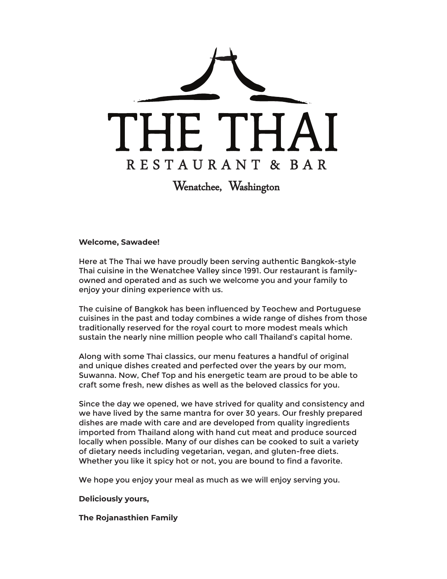

Wenatchee, Washington

#### **Welcome, Sawadee!**

Here at The Thai we have proudly been serving authentic Bangkok-style Thai cuisine in the Wenatchee Valley since 1991. Our restaurant is familyowned and operated and as such we welcome you and your family to enjoy your dining experience with us.

The cuisine of Bangkok has been influenced by Teochew and Portuguese cuisines in the past and today combines a wide range of dishes from those traditionally reserved for the royal court to more modest meals which sustain the nearly nine million people who call Thailand's capital home.

Along with some Thai classics, our menu features a handful of original and unique dishes created and perfected over the years by our mom, Suwanna. Now, Chef Top and his energetic team are proud to be able to craft some fresh, new dishes as well as the beloved classics for you.

Since the day we opened, we have strived for quality and consistency and we have lived by the same mantra for over 30 years. Our freshly prepared dishes are made with care and are developed from quality ingredients imported from Thailand along with hand cut meat and produce sourced locally when possible. Many of our dishes can be cooked to suit a variety of dietary needs including vegetarian, vegan, and gluten-free diets. Whether you like it spicy hot or not, you are bound to find a favorite.

We hope you enjoy your meal as much as we will enjoy serving you.

#### **Deliciously yours,**

**The Rojanasthien Family**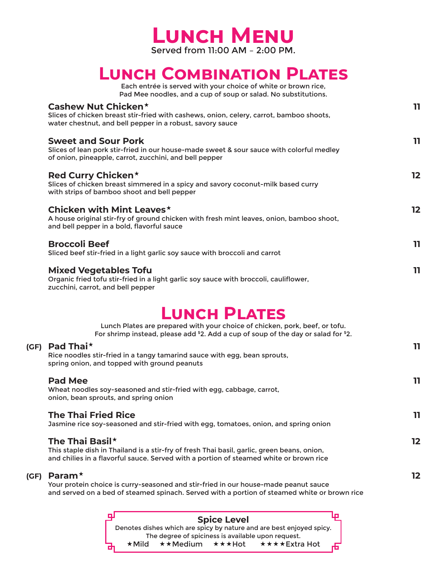

## **Lunch Combination Plates**

| Each entrée is served with your choice of white or brown rice,<br>Pad Mee noodles, and a cup of soup or salad. No substitutions.                                                        |                 |
|-----------------------------------------------------------------------------------------------------------------------------------------------------------------------------------------|-----------------|
| Cashew Nut Chicken <sup>★</sup><br>Slices of chicken breast stir-fried with cashews, onion, celery, carrot, bamboo shoots,<br>water chestnut, and bell pepper in a robust, savory sauce | 11              |
| <b>Sweet and Sour Pork</b><br>Slices of lean pork stir-fried in our house-made sweet & sour sauce with colorful medley<br>of onion, pineapple, carrot, zucchini, and bell pepper        | 11              |
| Red Curry Chicken*<br>Slices of chicken breast simmered in a spicy and savory coconut-milk based curry<br>with strips of bamboo shoot and bell pepper                                   | 12 <sub>2</sub> |
| Chicken with Mint Leaves*<br>A house original stir-fry of ground chicken with fresh mint leaves, onion, bamboo shoot,<br>and bell pepper in a bold, flavorful sauce                     | 12              |
| <b>Broccoli Beef</b><br>Sliced beef stir-fried in a light garlic soy sauce with broccoli and carrot                                                                                     | 11              |
| <b>Mixed Vegetables Tofu</b><br>Organic fried tofu stir-fried in a light garlic soy sauce with broccoli, cauliflower,<br>zucchini, carrot, and bell pepper                              | 11              |

# **Lunch Plates**

|      | Lunch Plates are prepared with your choice of chicken, pork, beef, or tofu.<br>For shrimp instead, please add <sup>\$</sup> 2. Add a cup of soup of the day or salad for <sup>\$</sup> 2.                       |         |
|------|-----------------------------------------------------------------------------------------------------------------------------------------------------------------------------------------------------------------|---------|
| (GF) | Pad Thai*<br>Rice noodles stir-fried in a tangy tamarind sauce with egg, bean sprouts,<br>spring onion, and topped with ground peanuts                                                                          | 11      |
|      | <b>Pad Mee</b><br>Wheat noodles soy-seasoned and stir-fried with egg, cabbage, carrot,<br>onion, bean sprouts, and spring onion                                                                                 | 11.     |
|      | <b>The Thai Fried Rice</b><br>Jasmine rice soy-seasoned and stir-fried with egg, tomatoes, onion, and spring onion                                                                                              | 11      |
|      | The Thai Basil $\star$<br>This staple dish in Thailand is a stir-fry of fresh Thai basil, garlic, green beans, onion,<br>and chilies in a flavorful sauce. Served with a portion of steamed white or brown rice | $12 \,$ |
| (GF) | Param $\star$<br>Your protein choice is curry-seasoned and stir-fried in our house-made peanut sauce                                                                                                            | 12      |

and served on a bed of steamed spinach. Served with a portion of steamed white or brown rice

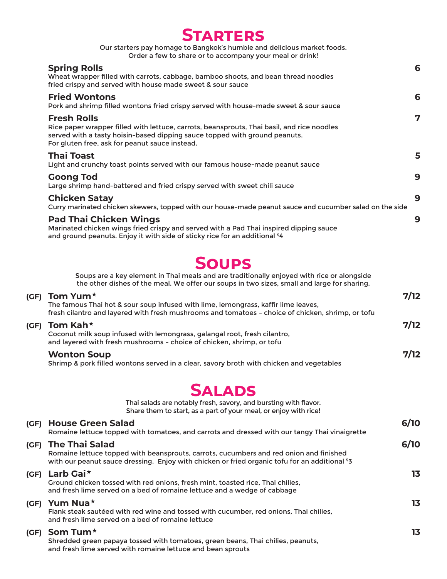| SIARIERS                                                                                                                                                                                                                                         |   |
|--------------------------------------------------------------------------------------------------------------------------------------------------------------------------------------------------------------------------------------------------|---|
| Our starters pay homage to Bangkok's humble and delicious market foods.<br>Order a few to share or to accompany your meal or drink!                                                                                                              |   |
| <b>Spring Rolls</b><br>Wheat wrapper filled with carrots, cabbage, bamboo shoots, and bean thread noodles<br>fried crispy and served with house made sweet & sour sauce                                                                          | 6 |
| <b>Fried Wontons</b><br>Pork and shrimp filled wontons fried crispy served with house-made sweet & sour sauce                                                                                                                                    | 6 |
| <b>Fresh Rolls</b><br>Rice paper wrapper filled with lettuce, carrots, beansprouts, Thai basil, and rice noodles<br>served with a tasty hoisin-based dipping sauce topped with ground peanuts.<br>For gluten free, ask for peanut sauce instead. | 7 |
| <b>Thai Toast</b><br>Light and crunchy toast points served with our famous house-made peanut sauce                                                                                                                                               | 5 |
| <b>Goong Tod</b><br>Large shrimp hand-battered and fried crispy served with sweet chili sauce                                                                                                                                                    | 9 |
| <b>Chicken Satay</b><br>Curry marinated chicken skewers, topped with our house-made peanut sauce and cucumber salad on the side                                                                                                                  | 9 |
| <b>Pad Thai Chicken Wings</b><br>Marinated chicken wings fried crispy and served with a Pad Thai inspired dipping sauce<br>and ground peanuts. Enjoy it with side of sticky rice for an additional <sup>\$4</sup>                                | 9 |
|                                                                                                                                                                                                                                                  |   |

**Starters Startes** 

## **Soups**

Soups are a key element in Thai meals and are traditionally enjoyed with rice or alongside the other dishes of the meal. We offer our soups in two sizes, small and large for sharing.

|      | (GF) Tom Yum $^{\star}$<br>The famous Thai hot & sour soup infused with lime, lemongrass, kaffir lime leaves,<br>fresh cilantro and layered with fresh mushrooms and tomatoes - choice of chicken, shrimp, or tofu | 7/12 |
|------|--------------------------------------------------------------------------------------------------------------------------------------------------------------------------------------------------------------------|------|
| (GF) | Tom Kah*<br>Coconut milk soup infused with lemongrass, galangal root, fresh cilantro,<br>and layered with fresh mushrooms - choice of chicken, shrimp, or tofu                                                     | 7/12 |
|      | <b>Wonton Soup</b><br>Shrimp & pork filled wontons served in a clear, savory broth with chicken and vegetables                                                                                                     | 7/12 |

#### **Salads** Thai salads are notably fresh, savory, and bursting with flavor.

| Share them to start, as a part of your meal, or enjoy with rice!                                                                                                                                                |      |
|-----------------------------------------------------------------------------------------------------------------------------------------------------------------------------------------------------------------|------|
| (GF) House Green Salad<br>Romaine lettuce topped with tomatoes, and carrots and dressed with our tangy Thai vinaigrette                                                                                         | 6/10 |
| (GF) The Thai Salad<br>Romaine lettuce topped with beansprouts, carrots, cucumbers and red onion and finished<br>with our peanut sauce dressing. Enjoy with chicken or fried organic tofu for an additional \$3 | 6/10 |
| (GF) Larb Gai $\star$<br>Ground chicken tossed with red onions, fresh mint, toasted rice, Thai chilies,<br>and fresh lime served on a bed of romaine lettuce and a wedge of cabbage                             | 13   |
| (GF) Yum Nua $\star$<br>Flank steak sautéed with red wine and tossed with cucumber, red onions, Thai chilies,<br>and fresh lime served on a bed of romaine lettuce                                              | 13   |
| (GF) Som Tum $\star$<br>Shredded green papaya tossed with tomatoes, green beans, Thai chilies, peanuts,<br>and fresh lime served with romaine lettuce and bean sprouts                                          | 13   |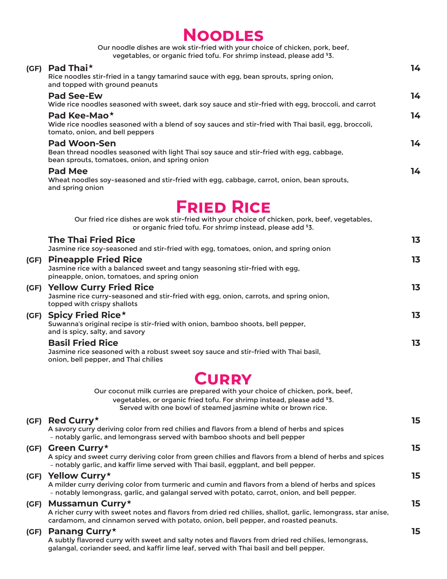## **Noodles**

Our noodle dishes are wok stir-fried with your choice of chicken, pork, beef, vegetables, or organic fried tofu. For shrimp instead, please add \$3.

| (GF) | <b>Pad Thai*</b>                                                                                                                                                   | 14 |
|------|--------------------------------------------------------------------------------------------------------------------------------------------------------------------|----|
|      | Rice noodles stir-fried in a tangy tamarind sauce with egg, bean sprouts, spring onion,<br>and topped with ground peanuts                                          |    |
|      | <b>Pad See-Ew</b><br>Wide rice noodles seasoned with sweet, dark soy sauce and stir-fried with egg, broccoli, and carrot                                           | 14 |
|      | Pad Kee-Mao $\star$<br>Wide rice noodles seasoned with a blend of soy sauces and stir-fried with Thai basil, egg, broccoli,<br>tomato, onion, and bell peppers     | 14 |
|      | <b>Pad Woon-Sen</b><br>Bean thread noodles seasoned with light Thai soy sauce and stir-fried with egg, cabbage,<br>bean sprouts, tomatoes, onion, and spring onion | 14 |
|      | <b>Pad Mee</b><br>Wheat noodles soy-seasoned and stir-fried with egg, cabbage, carrot, onion, bean sprouts,<br>and spring onion                                    | 14 |

# **Fried Rice**

| Our fried rice dishes are wok stir-fried with your choice of chicken, pork, beef, vegetables,<br>or organic fried tofu. For shrimp instead, please add \$3. |    |
|-------------------------------------------------------------------------------------------------------------------------------------------------------------|----|
| <b>The Thai Fried Rice</b><br>Jasmine rice soy-seasoned and stir-fried with egg, tomatoes, onion, and spring onion                                          | 13 |
| (GF) Pineapple Fried Rice<br>Jasmine rice with a balanced sweet and tangy seasoning stir-fried with egg,<br>pineapple, onion, tomatoes, and spring onion    | 13 |
| (GF) Yellow Curry Fried Rice<br>Jasmine rice curry-seasoned and stir-fried with egg, onion, carrots, and spring onion,<br>topped with crispy shallots       | 13 |
| (GF) Spicy Fried Rice $\star$<br>Suwanna's original recipe is stir-fried with onion, bamboo shoots, bell pepper,<br>and is spicy, salty, and savory         | 13 |
| <b>Basil Fried Rice</b><br>Jasmine rice seasoned with a robust sweet soy sauce and stir-fried with Thai basil,<br>onion, bell pepper, and Thai chilies      | 13 |
|                                                                                                                                                             |    |

#### **Curry**

| Our coconut milk curries are prepared with your choice of chicken, pork, beef,<br>vegetables, or organic fried tofu. For shrimp instead, please add \$3.<br>Served with one bowl of steamed jasmine white or brown rice. |    |
|--------------------------------------------------------------------------------------------------------------------------------------------------------------------------------------------------------------------------|----|
| (GF) Red Curry <sup>*</sup>                                                                                                                                                                                              | 15 |
| A savory curry deriving color from red chilies and flavors from a blend of herbs and spices<br>- notably garlic, and lemongrass served with bamboo shoots and bell pepper                                                |    |
| (GF) Green Curry*                                                                                                                                                                                                        | 15 |
| A spicy and sweet curry deriving color from green chilies and flavors from a blend of herbs and spices<br>- notably garlic, and kaffir lime served with Thai basil, eggplant, and bell pepper.                           |    |
| (GF) Yellow Curry*                                                                                                                                                                                                       | 15 |
| A milder curry deriving color from turmeric and cumin and flavors from a blend of herbs and spices<br>- notably lemongrass, garlic, and galangal served with potato, carrot, onion, and bell pepper.                     |    |
| (GF) Mussamun Curry*                                                                                                                                                                                                     | 15 |
| A richer curry with sweet notes and flavors from dried red chilies, shallot, garlic, lemongrass, star anise,<br>cardamom, and cinnamon served with potato, onion, bell pepper, and roasted peanuts.                      |    |
| (GF) Panang Curry*                                                                                                                                                                                                       | 15 |
| A subtly flavored curry with sweet and salty notes and flavors from dried red chilies, lemongrass,<br>galangal, coriander seed, and kaffir lime leaf, served with Thai basil and bell pepper.                            |    |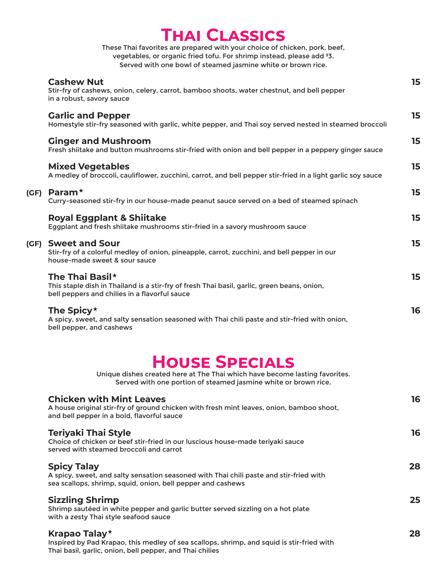|      | <b>THAI CLASSICS</b>                                                                                                                                                                                                 |                  |
|------|----------------------------------------------------------------------------------------------------------------------------------------------------------------------------------------------------------------------|------------------|
|      | These Thai favorites are prepared with your choice of chicken, pork, beef,<br>vegetables, or organic fried tofu. For shrimp instead, please add \$3.<br>Served with one bowl of steamed jasmine white or brown rice. |                  |
|      | <b>Cashew Nut</b><br>Stir-fry of cashews, onion, celery, carrot, bamboo shoots, water chestnut, and bell pepper<br>in a robust, savory sauce                                                                         | 15 <sub>15</sub> |
|      | <b>Garlic and Pepper</b><br>Homestyle stir-fry seasoned with garlic, white pepper, and Thai soy served nested in steamed broccoli                                                                                    | 15               |
|      | <b>Ginger and Mushroom</b><br>Fresh shiitake and button mushrooms stir-fried with onion and bell pepper in a peppery ginger sauce                                                                                    | 15               |
|      | <b>Mixed Vegetables</b><br>A medley of broccoli, cauliflower, zucchini, carrot, and bell pepper stir-fried in a light garlic soy sauce                                                                               | 15               |
| (GF) | Param $\star$<br>Curry-seasoned stir-fry in our house-made peanut sauce served on a bed of steamed spinach                                                                                                           | 15               |
|      | <b>Royal Eggplant &amp; Shiitake</b><br>Eggplant and fresh shiitake mushrooms stir-fried in a savory mushroom sauce                                                                                                  | 15               |
| (GF) | <b>Sweet and Sour</b><br>Stir-fry of a colorful medley of onion, pineapple, carrot, zucchini, and bell pepper in our<br>house-made sweet & sour sauce                                                                | 15               |
|      | The Thai Basil $\star$<br>This staple dish in Thailand is a stir-fry of fresh Thai basil, garlic, green beans, onion,<br>bell peppers and chilies in a flavorful sauce                                               | 15               |
|      | The Spicy $\star$<br>A spicy, sweet, and salty sensation seasoned with Thai chili paste and stir-fried with onion,<br>bell pepper, and cashews                                                                       | 16               |
|      |                                                                                                                                                                                                                      |                  |

### **House Specials**

Unique dishes created here at The Thai which have become lasting favorites. Served with one portion of steamed jasmine white or brown rice.

| <b>Chicken with Mint Leaves</b><br>A house original stir-fry of ground chicken with fresh mint leaves, onion, bamboo shoot,<br>and bell pepper in a bold, flavorful sauce     | 16 |
|-------------------------------------------------------------------------------------------------------------------------------------------------------------------------------|----|
| <b>Teriyaki Thai Style</b><br>Choice of chicken or beef stir-fried in our luscious house-made teriyaki sauce<br>served with steamed broccoli and carrot                       | 16 |
| <b>Spicy Talay</b><br>A spicy, sweet, and salty sensation seasoned with Thai chili paste and stir-fried with<br>sea scallops, shrimp, squid, onion, bell pepper and cashews   | 28 |
| <b>Sizzling Shrimp</b><br>Shrimp sautéed in white pepper and garlic butter served sizzling on a hot plate<br>with a zesty Thai style seafood sauce                            | 25 |
| Krapao Talay $\star$<br>Inspired by Pad Krapao, this medley of sea scallops, shrimp, and squid is stir-fried with<br>Thai basil, garlic, onion, bell pepper, and Thai chilies | 28 |